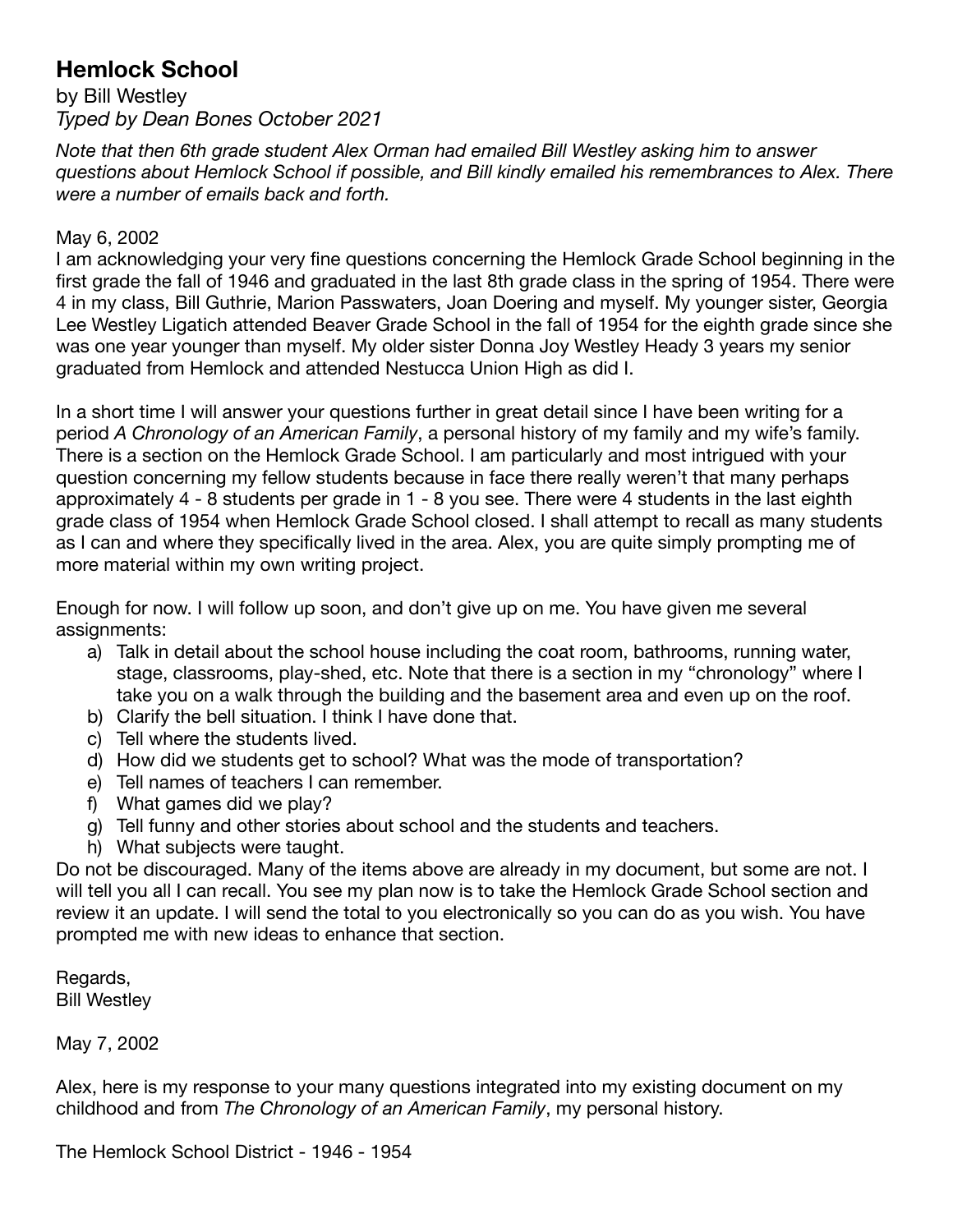by Bill Westley *Typed by Dean Bones October 2021*

*Note that then 6th grade student Alex Orman had emailed Bill Westley asking him to answer questions about Hemlock School if possible, and Bill kindly emailed his remembrances to Alex. There were a number of emails back and forth.* 

#### May 6, 2002

I am acknowledging your very fine questions concerning the Hemlock Grade School beginning in the first grade the fall of 1946 and graduated in the last 8th grade class in the spring of 1954. There were 4 in my class, Bill Guthrie, Marion Passwaters, Joan Doering and myself. My younger sister, Georgia Lee Westley Ligatich attended Beaver Grade School in the fall of 1954 for the eighth grade since she was one year younger than myself. My older sister Donna Joy Westley Heady 3 years my senior graduated from Hemlock and attended Nestucca Union High as did I.

In a short time I will answer your questions further in great detail since I have been writing for a period *A Chronology of an American Family*, a personal history of my family and my wife's family. There is a section on the Hemlock Grade School. I am particularly and most intrigued with your question concerning my fellow students because in face there really weren't that many perhaps approximately 4 - 8 students per grade in 1 - 8 you see. There were 4 students in the last eighth grade class of 1954 when Hemlock Grade School closed. I shall attempt to recall as many students as I can and where they specifically lived in the area. Alex, you are quite simply prompting me of more material within my own writing project.

Enough for now. I will follow up soon, and don't give up on me. You have given me several assignments:

- a) Talk in detail about the school house including the coat room, bathrooms, running water, stage, classrooms, play-shed, etc. Note that there is a section in my "chronology" where I take you on a walk through the building and the basement area and even up on the roof.
- b) Clarify the bell situation. I think I have done that.
- c) Tell where the students lived.
- d) How did we students get to school? What was the mode of transportation?
- e) Tell names of teachers I can remember.
- f) What games did we play?
- g) Tell funny and other stories about school and the students and teachers.
- h) What subjects were taught.

Do not be discouraged. Many of the items above are already in my document, but some are not. I will tell you all I can recall. You see my plan now is to take the Hemlock Grade School section and review it an update. I will send the total to you electronically so you can do as you wish. You have prompted me with new ideas to enhance that section.

Regards, Bill Westley

May 7, 2002

Alex, here is my response to your many questions integrated into my existing document on my childhood and from *The Chronology of an American Family*, my personal history.

The Hemlock School District - 1946 - 1954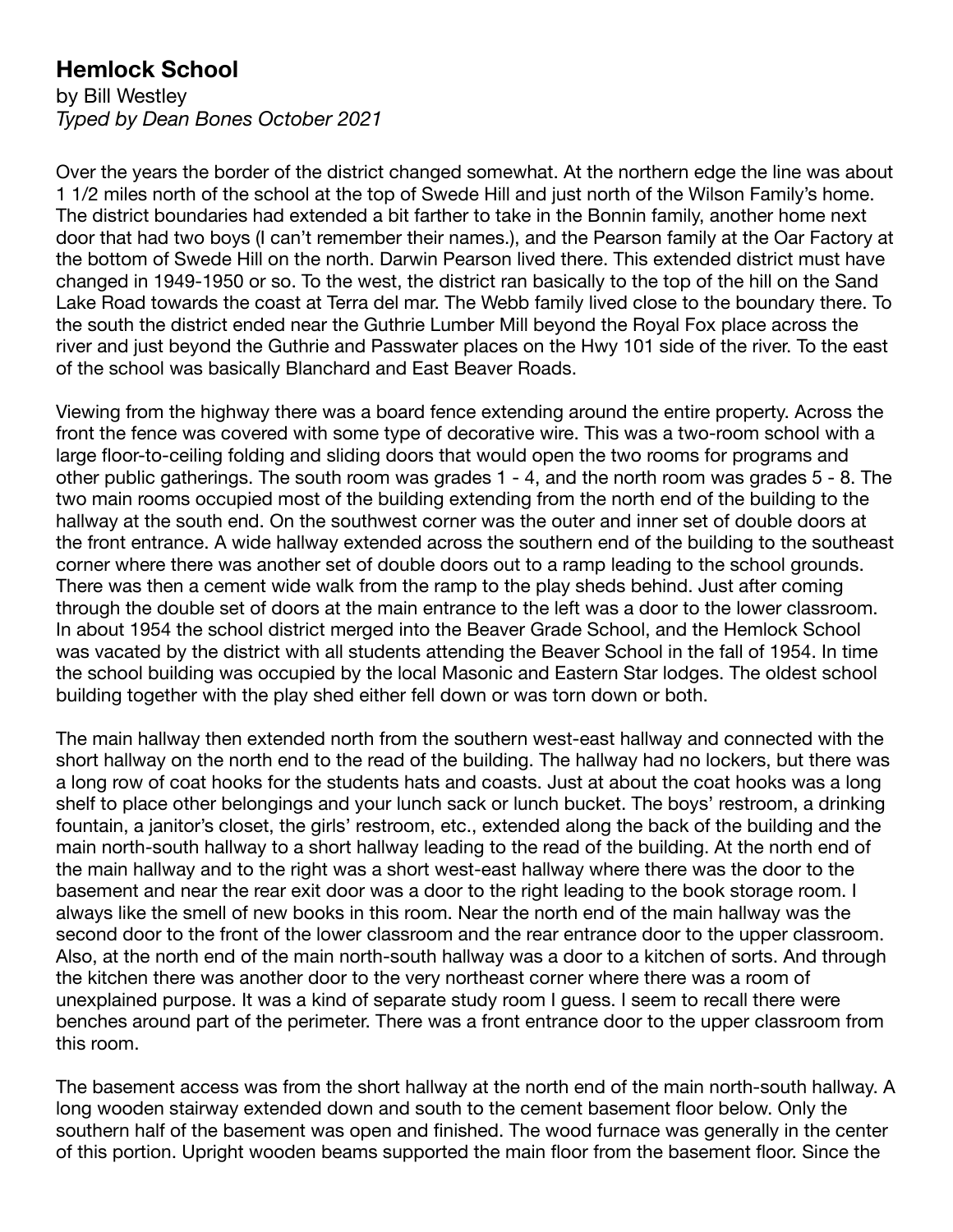by Bill Westley *Typed by Dean Bones October 2021*

Over the years the border of the district changed somewhat. At the northern edge the line was about 1 1/2 miles north of the school at the top of Swede Hill and just north of the Wilson Family's home. The district boundaries had extended a bit farther to take in the Bonnin family, another home next door that had two boys (I can't remember their names.), and the Pearson family at the Oar Factory at the bottom of Swede Hill on the north. Darwin Pearson lived there. This extended district must have changed in 1949-1950 or so. To the west, the district ran basically to the top of the hill on the Sand Lake Road towards the coast at Terra del mar. The Webb family lived close to the boundary there. To the south the district ended near the Guthrie Lumber Mill beyond the Royal Fox place across the river and just beyond the Guthrie and Passwater places on the Hwy 101 side of the river. To the east of the school was basically Blanchard and East Beaver Roads.

Viewing from the highway there was a board fence extending around the entire property. Across the front the fence was covered with some type of decorative wire. This was a two-room school with a large floor-to-ceiling folding and sliding doors that would open the two rooms for programs and other public gatherings. The south room was grades 1 - 4, and the north room was grades 5 - 8. The two main rooms occupied most of the building extending from the north end of the building to the hallway at the south end. On the southwest corner was the outer and inner set of double doors at the front entrance. A wide hallway extended across the southern end of the building to the southeast corner where there was another set of double doors out to a ramp leading to the school grounds. There was then a cement wide walk from the ramp to the play sheds behind. Just after coming through the double set of doors at the main entrance to the left was a door to the lower classroom. In about 1954 the school district merged into the Beaver Grade School, and the Hemlock School was vacated by the district with all students attending the Beaver School in the fall of 1954. In time the school building was occupied by the local Masonic and Eastern Star lodges. The oldest school building together with the play shed either fell down or was torn down or both.

The main hallway then extended north from the southern west-east hallway and connected with the short hallway on the north end to the read of the building. The hallway had no lockers, but there was a long row of coat hooks for the students hats and coasts. Just at about the coat hooks was a long shelf to place other belongings and your lunch sack or lunch bucket. The boys' restroom, a drinking fountain, a janitor's closet, the girls' restroom, etc., extended along the back of the building and the main north-south hallway to a short hallway leading to the read of the building. At the north end of the main hallway and to the right was a short west-east hallway where there was the door to the basement and near the rear exit door was a door to the right leading to the book storage room. I always like the smell of new books in this room. Near the north end of the main hallway was the second door to the front of the lower classroom and the rear entrance door to the upper classroom. Also, at the north end of the main north-south hallway was a door to a kitchen of sorts. And through the kitchen there was another door to the very northeast corner where there was a room of unexplained purpose. It was a kind of separate study room I guess. I seem to recall there were benches around part of the perimeter. There was a front entrance door to the upper classroom from this room.

The basement access was from the short hallway at the north end of the main north-south hallway. A long wooden stairway extended down and south to the cement basement floor below. Only the southern half of the basement was open and finished. The wood furnace was generally in the center of this portion. Upright wooden beams supported the main floor from the basement floor. Since the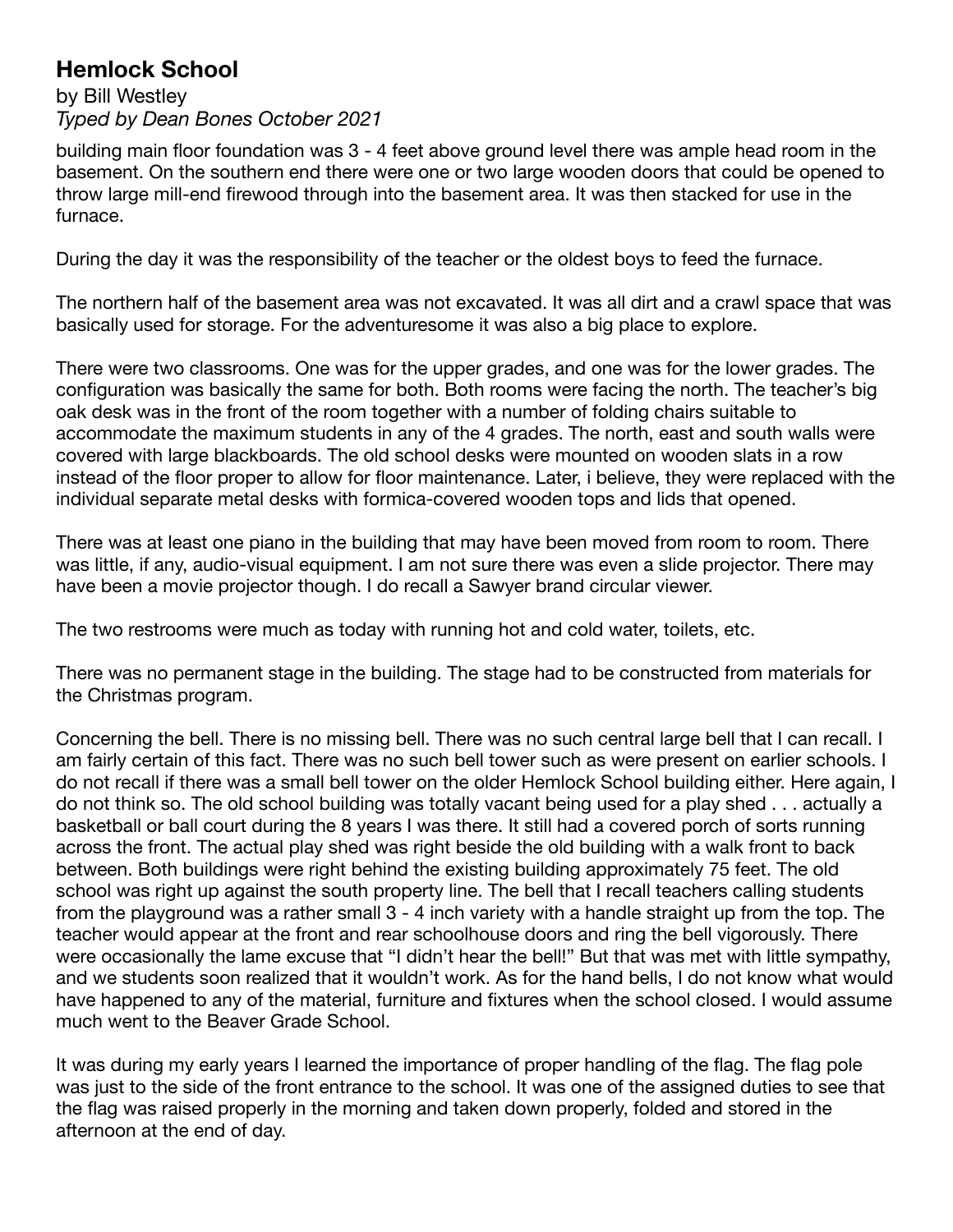by Bill Westley *Typed by Dean Bones October 2021*

building main floor foundation was 3 - 4 feet above ground level there was ample head room in the basement. On the southern end there were one or two large wooden doors that could be opened to throw large mill-end firewood through into the basement area. It was then stacked for use in the furnace.

During the day it was the responsibility of the teacher or the oldest boys to feed the furnace.

The northern half of the basement area was not excavated. It was all dirt and a crawl space that was basically used for storage. For the adventuresome it was also a big place to explore.

There were two classrooms. One was for the upper grades, and one was for the lower grades. The configuration was basically the same for both. Both rooms were facing the north. The teacher's big oak desk was in the front of the room together with a number of folding chairs suitable to accommodate the maximum students in any of the 4 grades. The north, east and south walls were covered with large blackboards. The old school desks were mounted on wooden slats in a row instead of the floor proper to allow for floor maintenance. Later, i believe, they were replaced with the individual separate metal desks with formica-covered wooden tops and lids that opened.

There was at least one piano in the building that may have been moved from room to room. There was little, if any, audio-visual equipment. I am not sure there was even a slide projector. There may have been a movie projector though. I do recall a Sawyer brand circular viewer.

The two restrooms were much as today with running hot and cold water, toilets, etc.

There was no permanent stage in the building. The stage had to be constructed from materials for the Christmas program.

Concerning the bell. There is no missing bell. There was no such central large bell that I can recall. I am fairly certain of this fact. There was no such bell tower such as were present on earlier schools. I do not recall if there was a small bell tower on the older Hemlock School building either. Here again, I do not think so. The old school building was totally vacant being used for a play shed . . . actually a basketball or ball court during the 8 years I was there. It still had a covered porch of sorts running across the front. The actual play shed was right beside the old building with a walk front to back between. Both buildings were right behind the existing building approximately 75 feet. The old school was right up against the south property line. The bell that I recall teachers calling students from the playground was a rather small 3 - 4 inch variety with a handle straight up from the top. The teacher would appear at the front and rear schoolhouse doors and ring the bell vigorously. There were occasionally the lame excuse that "I didn't hear the bell!" But that was met with little sympathy, and we students soon realized that it wouldn't work. As for the hand bells, I do not know what would have happened to any of the material, furniture and fixtures when the school closed. I would assume much went to the Beaver Grade School.

It was during my early years I learned the importance of proper handling of the flag. The flag pole was just to the side of the front entrance to the school. It was one of the assigned duties to see that the flag was raised properly in the morning and taken down properly, folded and stored in the afternoon at the end of day.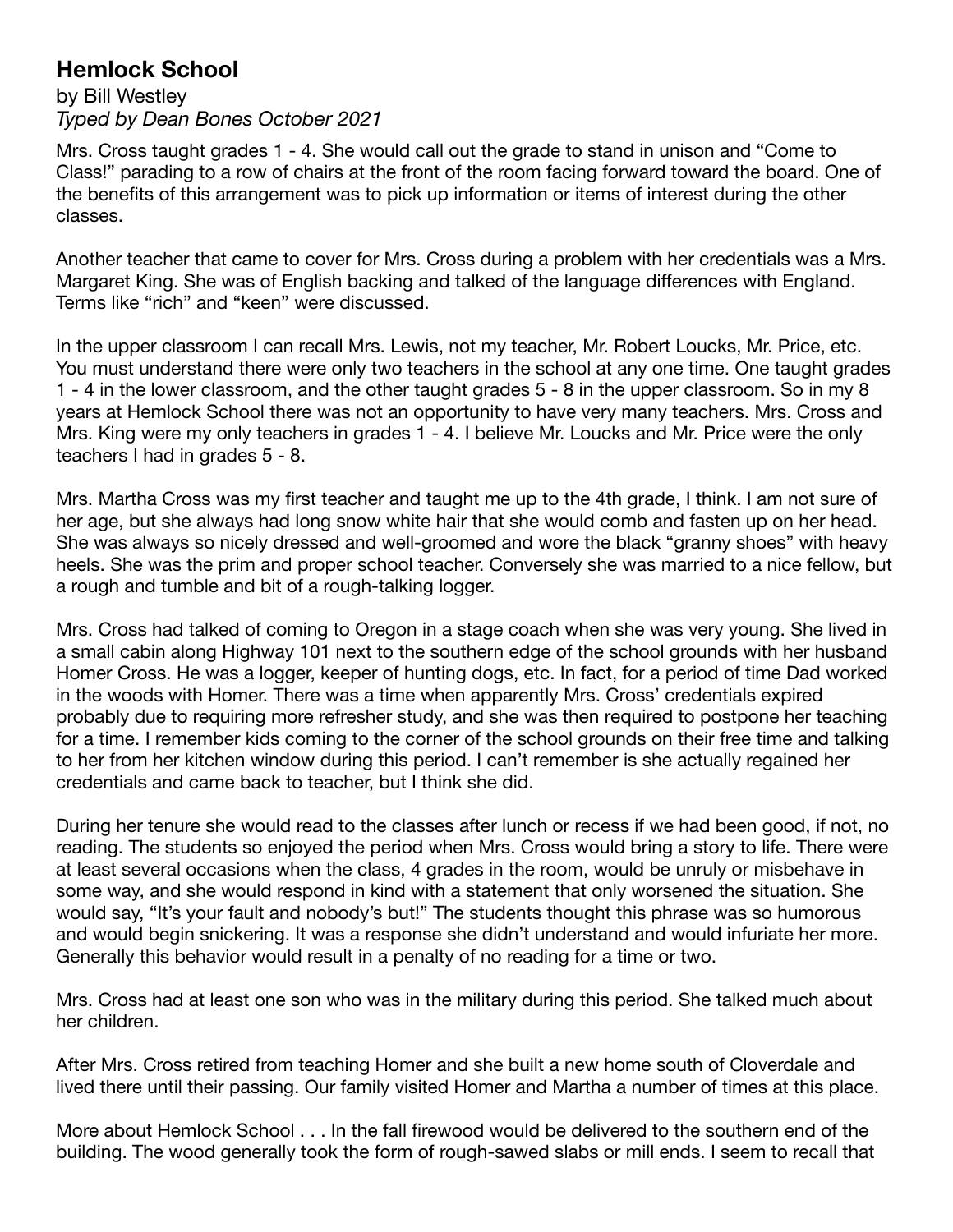by Bill Westley *Typed by Dean Bones October 2021*

Mrs. Cross taught grades 1 - 4. She would call out the grade to stand in unison and "Come to Class!" parading to a row of chairs at the front of the room facing forward toward the board. One of the benefits of this arrangement was to pick up information or items of interest during the other classes.

Another teacher that came to cover for Mrs. Cross during a problem with her credentials was a Mrs. Margaret King. She was of English backing and talked of the language differences with England. Terms like "rich" and "keen" were discussed.

In the upper classroom I can recall Mrs. Lewis, not my teacher, Mr. Robert Loucks, Mr. Price, etc. You must understand there were only two teachers in the school at any one time. One taught grades 1 - 4 in the lower classroom, and the other taught grades 5 - 8 in the upper classroom. So in my 8 years at Hemlock School there was not an opportunity to have very many teachers. Mrs. Cross and Mrs. King were my only teachers in grades 1 - 4. I believe Mr. Loucks and Mr. Price were the only teachers I had in grades 5 - 8.

Mrs. Martha Cross was my first teacher and taught me up to the 4th grade, I think. I am not sure of her age, but she always had long snow white hair that she would comb and fasten up on her head. She was always so nicely dressed and well-groomed and wore the black "granny shoes" with heavy heels. She was the prim and proper school teacher. Conversely she was married to a nice fellow, but a rough and tumble and bit of a rough-talking logger.

Mrs. Cross had talked of coming to Oregon in a stage coach when she was very young. She lived in a small cabin along Highway 101 next to the southern edge of the school grounds with her husband Homer Cross. He was a logger, keeper of hunting dogs, etc. In fact, for a period of time Dad worked in the woods with Homer. There was a time when apparently Mrs. Cross' credentials expired probably due to requiring more refresher study, and she was then required to postpone her teaching for a time. I remember kids coming to the corner of the school grounds on their free time and talking to her from her kitchen window during this period. I can't remember is she actually regained her credentials and came back to teacher, but I think she did.

During her tenure she would read to the classes after lunch or recess if we had been good, if not, no reading. The students so enjoyed the period when Mrs. Cross would bring a story to life. There were at least several occasions when the class, 4 grades in the room, would be unruly or misbehave in some way, and she would respond in kind with a statement that only worsened the situation. She would say, "It's your fault and nobody's but!" The students thought this phrase was so humorous and would begin snickering. It was a response she didn't understand and would infuriate her more. Generally this behavior would result in a penalty of no reading for a time or two.

Mrs. Cross had at least one son who was in the military during this period. She talked much about her children.

After Mrs. Cross retired from teaching Homer and she built a new home south of Cloverdale and lived there until their passing. Our family visited Homer and Martha a number of times at this place.

More about Hemlock School . . . In the fall firewood would be delivered to the southern end of the building. The wood generally took the form of rough-sawed slabs or mill ends. I seem to recall that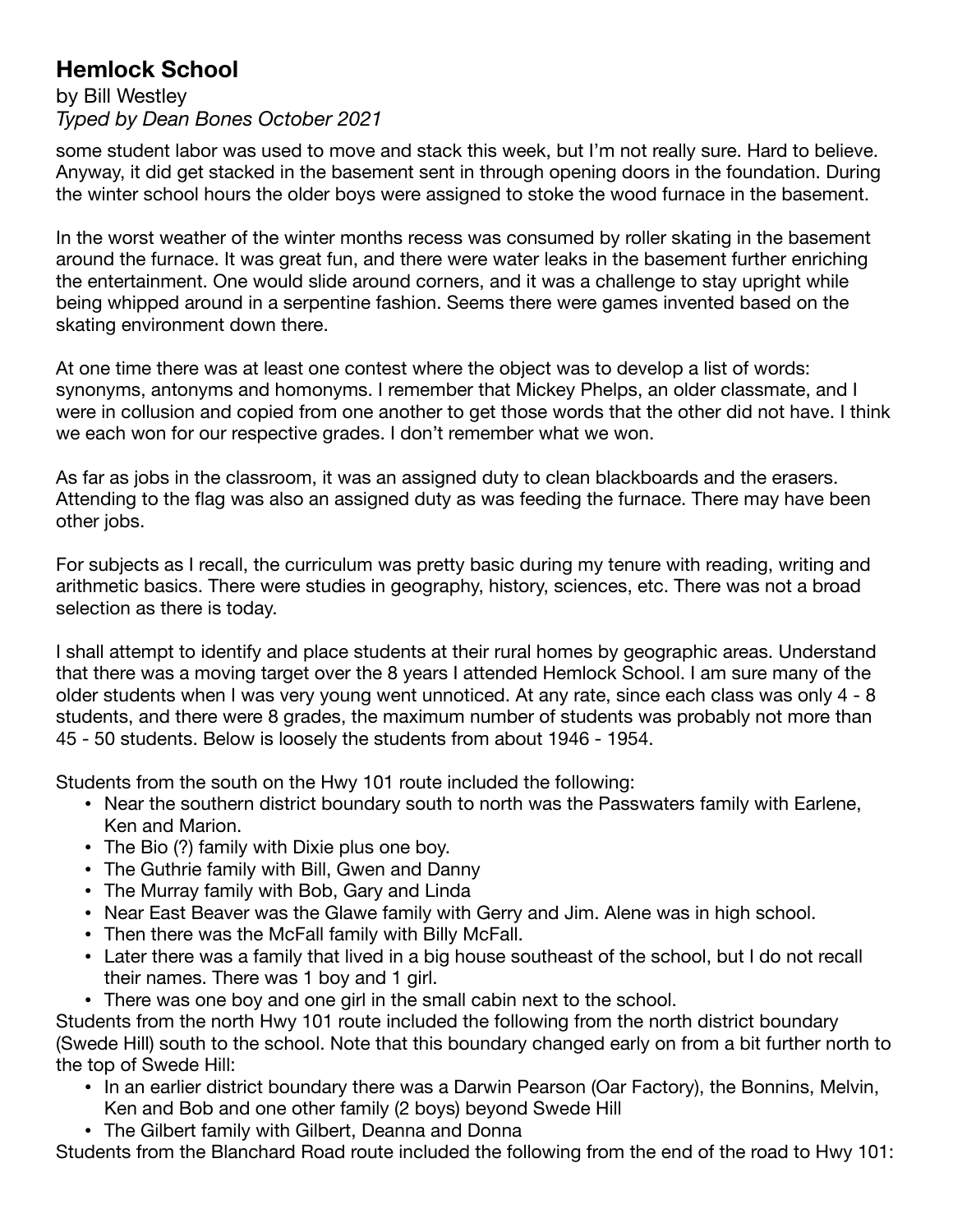### by Bill Westley *Typed by Dean Bones October 2021*

some student labor was used to move and stack this week, but I'm not really sure. Hard to believe. Anyway, it did get stacked in the basement sent in through opening doors in the foundation. During the winter school hours the older boys were assigned to stoke the wood furnace in the basement.

In the worst weather of the winter months recess was consumed by roller skating in the basement around the furnace. It was great fun, and there were water leaks in the basement further enriching the entertainment. One would slide around corners, and it was a challenge to stay upright while being whipped around in a serpentine fashion. Seems there were games invented based on the skating environment down there.

At one time there was at least one contest where the object was to develop a list of words: synonyms, antonyms and homonyms. I remember that Mickey Phelps, an older classmate, and I were in collusion and copied from one another to get those words that the other did not have. I think we each won for our respective grades. I don't remember what we won.

As far as jobs in the classroom, it was an assigned duty to clean blackboards and the erasers. Attending to the flag was also an assigned duty as was feeding the furnace. There may have been other jobs.

For subjects as I recall, the curriculum was pretty basic during my tenure with reading, writing and arithmetic basics. There were studies in geography, history, sciences, etc. There was not a broad selection as there is today.

I shall attempt to identify and place students at their rural homes by geographic areas. Understand that there was a moving target over the 8 years I attended Hemlock School. I am sure many of the older students when I was very young went unnoticed. At any rate, since each class was only 4 - 8 students, and there were 8 grades, the maximum number of students was probably not more than 45 - 50 students. Below is loosely the students from about 1946 - 1954.

Students from the south on the Hwy 101 route included the following:

- Near the southern district boundary south to north was the Passwaters family with Earlene, Ken and Marion.
- The Bio (?) family with Dixie plus one boy.
- The Guthrie family with Bill, Gwen and Danny
- The Murray family with Bob, Gary and Linda
- Near East Beaver was the Glawe family with Gerry and Jim. Alene was in high school.
- Then there was the McFall family with Billy McFall.
- Later there was a family that lived in a big house southeast of the school, but I do not recall their names. There was 1 boy and 1 girl.
- There was one boy and one girl in the small cabin next to the school.

Students from the north Hwy 101 route included the following from the north district boundary (Swede Hill) south to the school. Note that this boundary changed early on from a bit further north to the top of Swede Hill:

- In an earlier district boundary there was a Darwin Pearson (Oar Factory), the Bonnins, Melvin, Ken and Bob and one other family (2 boys) beyond Swede Hill
- The Gilbert family with Gilbert, Deanna and Donna

Students from the Blanchard Road route included the following from the end of the road to Hwy 101: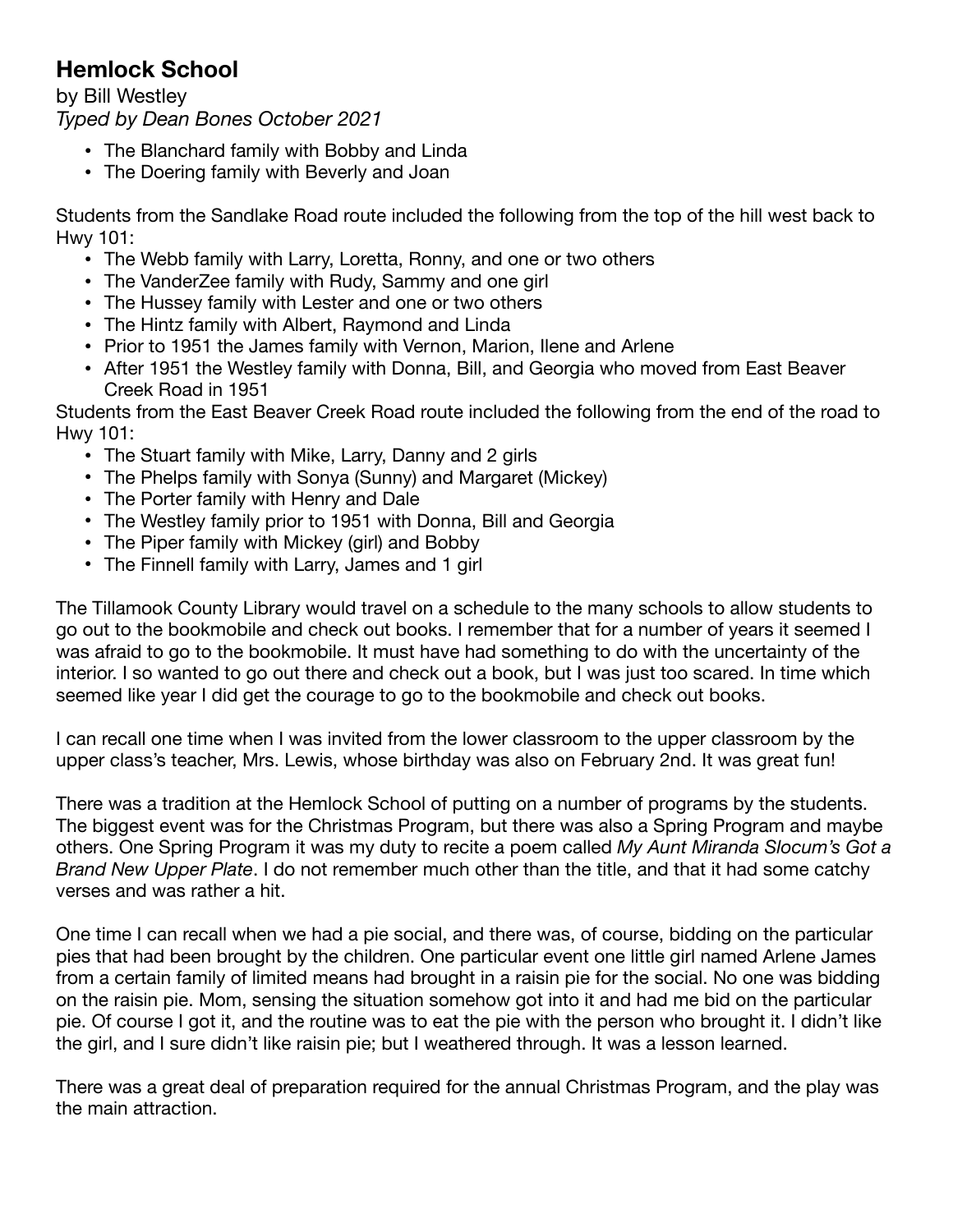### by Bill Westley

*Typed by Dean Bones October 2021*

- The Blanchard family with Bobby and Linda
- The Doering family with Beverly and Joan

Students from the Sandlake Road route included the following from the top of the hill west back to Hwy 101:

- The Webb family with Larry, Loretta, Ronny, and one or two others
- The VanderZee family with Rudy, Sammy and one girl
- The Hussey family with Lester and one or two others
- The Hintz family with Albert, Raymond and Linda
- Prior to 1951 the James family with Vernon, Marion, Ilene and Arlene
- After 1951 the Westley family with Donna, Bill, and Georgia who moved from East Beaver Creek Road in 1951

Students from the East Beaver Creek Road route included the following from the end of the road to Hwy 101:

- The Stuart family with Mike, Larry, Danny and 2 girls
- The Phelps family with Sonya (Sunny) and Margaret (Mickey)
- The Porter family with Henry and Dale
- The Westley family prior to 1951 with Donna, Bill and Georgia
- The Piper family with Mickey (girl) and Bobby
- The Finnell family with Larry, James and 1 girl

The Tillamook County Library would travel on a schedule to the many schools to allow students to go out to the bookmobile and check out books. I remember that for a number of years it seemed I was afraid to go to the bookmobile. It must have had something to do with the uncertainty of the interior. I so wanted to go out there and check out a book, but I was just too scared. In time which seemed like year I did get the courage to go to the bookmobile and check out books.

I can recall one time when I was invited from the lower classroom to the upper classroom by the upper class's teacher, Mrs. Lewis, whose birthday was also on February 2nd. It was great fun!

There was a tradition at the Hemlock School of putting on a number of programs by the students. The biggest event was for the Christmas Program, but there was also a Spring Program and maybe others. One Spring Program it was my duty to recite a poem called *My Aunt Miranda Slocum's Got a Brand New Upper Plate*. I do not remember much other than the title, and that it had some catchy verses and was rather a hit.

One time I can recall when we had a pie social, and there was, of course, bidding on the particular pies that had been brought by the children. One particular event one little girl named Arlene James from a certain family of limited means had brought in a raisin pie for the social. No one was bidding on the raisin pie. Mom, sensing the situation somehow got into it and had me bid on the particular pie. Of course I got it, and the routine was to eat the pie with the person who brought it. I didn't like the girl, and I sure didn't like raisin pie; but I weathered through. It was a lesson learned.

There was a great deal of preparation required for the annual Christmas Program, and the play was the main attraction.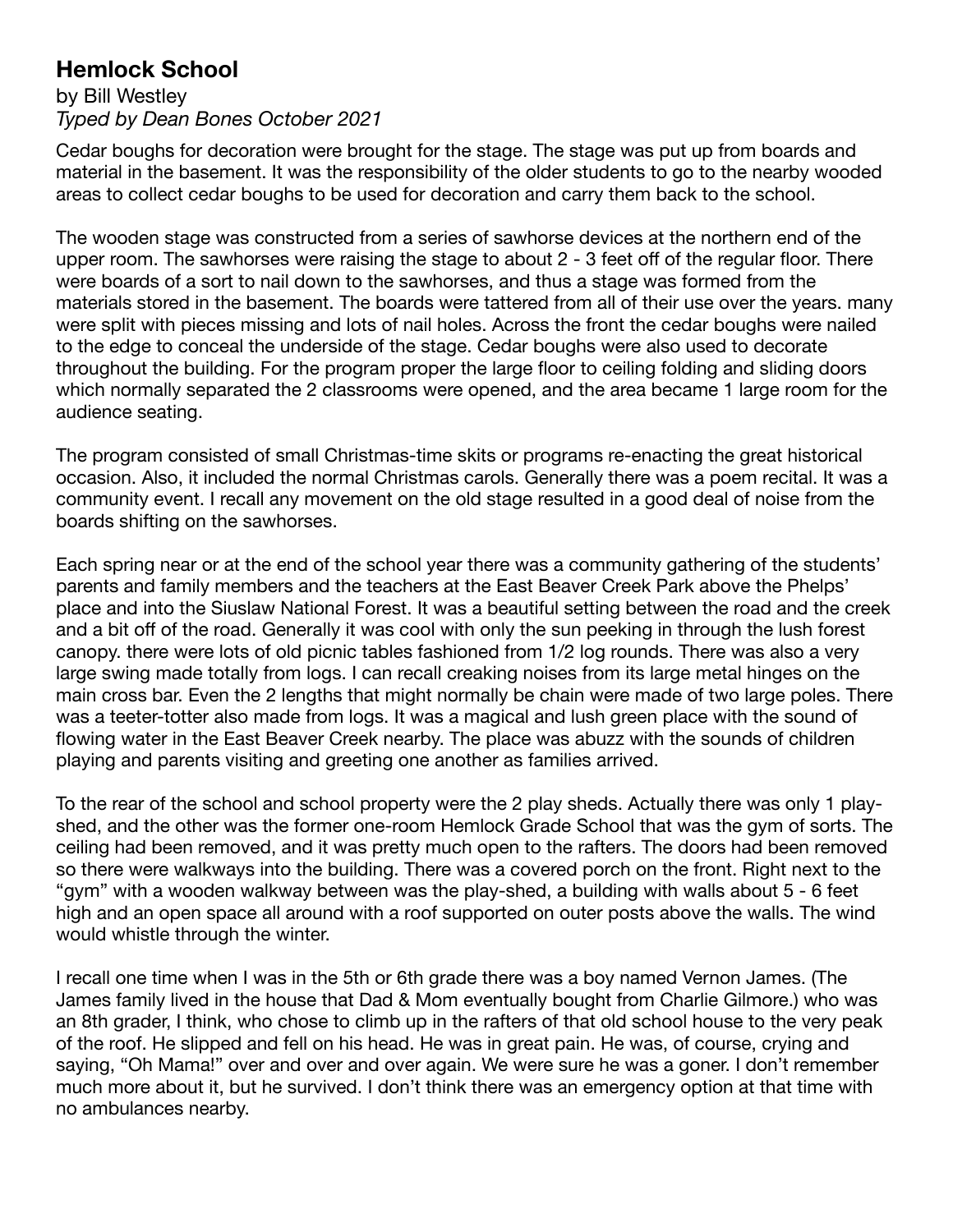#### by Bill Westley *Typed by Dean Bones October 2021*

Cedar boughs for decoration were brought for the stage. The stage was put up from boards and material in the basement. It was the responsibility of the older students to go to the nearby wooded areas to collect cedar boughs to be used for decoration and carry them back to the school.

The wooden stage was constructed from a series of sawhorse devices at the northern end of the upper room. The sawhorses were raising the stage to about 2 - 3 feet off of the regular floor. There were boards of a sort to nail down to the sawhorses, and thus a stage was formed from the materials stored in the basement. The boards were tattered from all of their use over the years. many were split with pieces missing and lots of nail holes. Across the front the cedar boughs were nailed to the edge to conceal the underside of the stage. Cedar boughs were also used to decorate throughout the building. For the program proper the large floor to ceiling folding and sliding doors which normally separated the 2 classrooms were opened, and the area became 1 large room for the audience seating.

The program consisted of small Christmas-time skits or programs re-enacting the great historical occasion. Also, it included the normal Christmas carols. Generally there was a poem recital. It was a community event. I recall any movement on the old stage resulted in a good deal of noise from the boards shifting on the sawhorses.

Each spring near or at the end of the school year there was a community gathering of the students' parents and family members and the teachers at the East Beaver Creek Park above the Phelps' place and into the Siuslaw National Forest. It was a beautiful setting between the road and the creek and a bit off of the road. Generally it was cool with only the sun peeking in through the lush forest canopy. there were lots of old picnic tables fashioned from 1/2 log rounds. There was also a very large swing made totally from logs. I can recall creaking noises from its large metal hinges on the main cross bar. Even the 2 lengths that might normally be chain were made of two large poles. There was a teeter-totter also made from logs. It was a magical and lush green place with the sound of flowing water in the East Beaver Creek nearby. The place was abuzz with the sounds of children playing and parents visiting and greeting one another as families arrived.

To the rear of the school and school property were the 2 play sheds. Actually there was only 1 playshed, and the other was the former one-room Hemlock Grade School that was the gym of sorts. The ceiling had been removed, and it was pretty much open to the rafters. The doors had been removed so there were walkways into the building. There was a covered porch on the front. Right next to the "gym" with a wooden walkway between was the play-shed, a building with walls about 5 - 6 feet high and an open space all around with a roof supported on outer posts above the walls. The wind would whistle through the winter.

I recall one time when I was in the 5th or 6th grade there was a boy named Vernon James. (The James family lived in the house that Dad & Mom eventually bought from Charlie Gilmore.) who was an 8th grader, I think, who chose to climb up in the rafters of that old school house to the very peak of the roof. He slipped and fell on his head. He was in great pain. He was, of course, crying and saying, "Oh Mama!" over and over and over again. We were sure he was a goner. I don't remember much more about it, but he survived. I don't think there was an emergency option at that time with no ambulances nearby.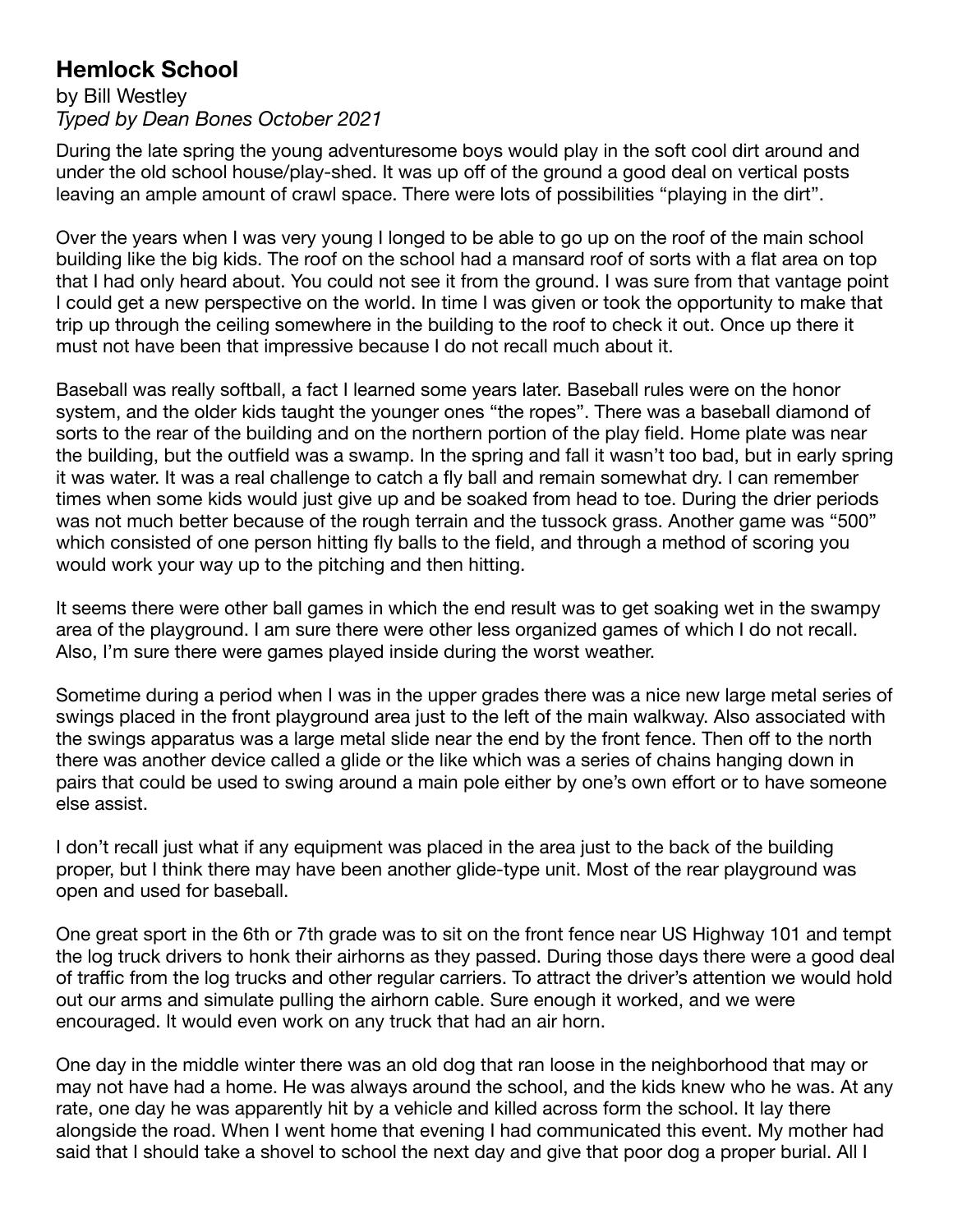#### by Bill Westley *Typed by Dean Bones October 2021*

During the late spring the young adventuresome boys would play in the soft cool dirt around and under the old school house/play-shed. It was up off of the ground a good deal on vertical posts leaving an ample amount of crawl space. There were lots of possibilities "playing in the dirt".

Over the years when I was very young I longed to be able to go up on the roof of the main school building like the big kids. The roof on the school had a mansard roof of sorts with a flat area on top that I had only heard about. You could not see it from the ground. I was sure from that vantage point I could get a new perspective on the world. In time I was given or took the opportunity to make that trip up through the ceiling somewhere in the building to the roof to check it out. Once up there it must not have been that impressive because I do not recall much about it.

Baseball was really softball, a fact I learned some years later. Baseball rules were on the honor system, and the older kids taught the younger ones "the ropes". There was a baseball diamond of sorts to the rear of the building and on the northern portion of the play field. Home plate was near the building, but the outfield was a swamp. In the spring and fall it wasn't too bad, but in early spring it was water. It was a real challenge to catch a fly ball and remain somewhat dry. I can remember times when some kids would just give up and be soaked from head to toe. During the drier periods was not much better because of the rough terrain and the tussock grass. Another game was "500" which consisted of one person hitting fly balls to the field, and through a method of scoring you would work your way up to the pitching and then hitting.

It seems there were other ball games in which the end result was to get soaking wet in the swampy area of the playground. I am sure there were other less organized games of which I do not recall. Also, I'm sure there were games played inside during the worst weather.

Sometime during a period when I was in the upper grades there was a nice new large metal series of swings placed in the front playground area just to the left of the main walkway. Also associated with the swings apparatus was a large metal slide near the end by the front fence. Then off to the north there was another device called a glide or the like which was a series of chains hanging down in pairs that could be used to swing around a main pole either by one's own effort or to have someone else assist.

I don't recall just what if any equipment was placed in the area just to the back of the building proper, but I think there may have been another glide-type unit. Most of the rear playground was open and used for baseball.

One great sport in the 6th or 7th grade was to sit on the front fence near US Highway 101 and tempt the log truck drivers to honk their airhorns as they passed. During those days there were a good deal of traffic from the log trucks and other regular carriers. To attract the driver's attention we would hold out our arms and simulate pulling the airhorn cable. Sure enough it worked, and we were encouraged. It would even work on any truck that had an air horn.

One day in the middle winter there was an old dog that ran loose in the neighborhood that may or may not have had a home. He was always around the school, and the kids knew who he was. At any rate, one day he was apparently hit by a vehicle and killed across form the school. It lay there alongside the road. When I went home that evening I had communicated this event. My mother had said that I should take a shovel to school the next day and give that poor dog a proper burial. All I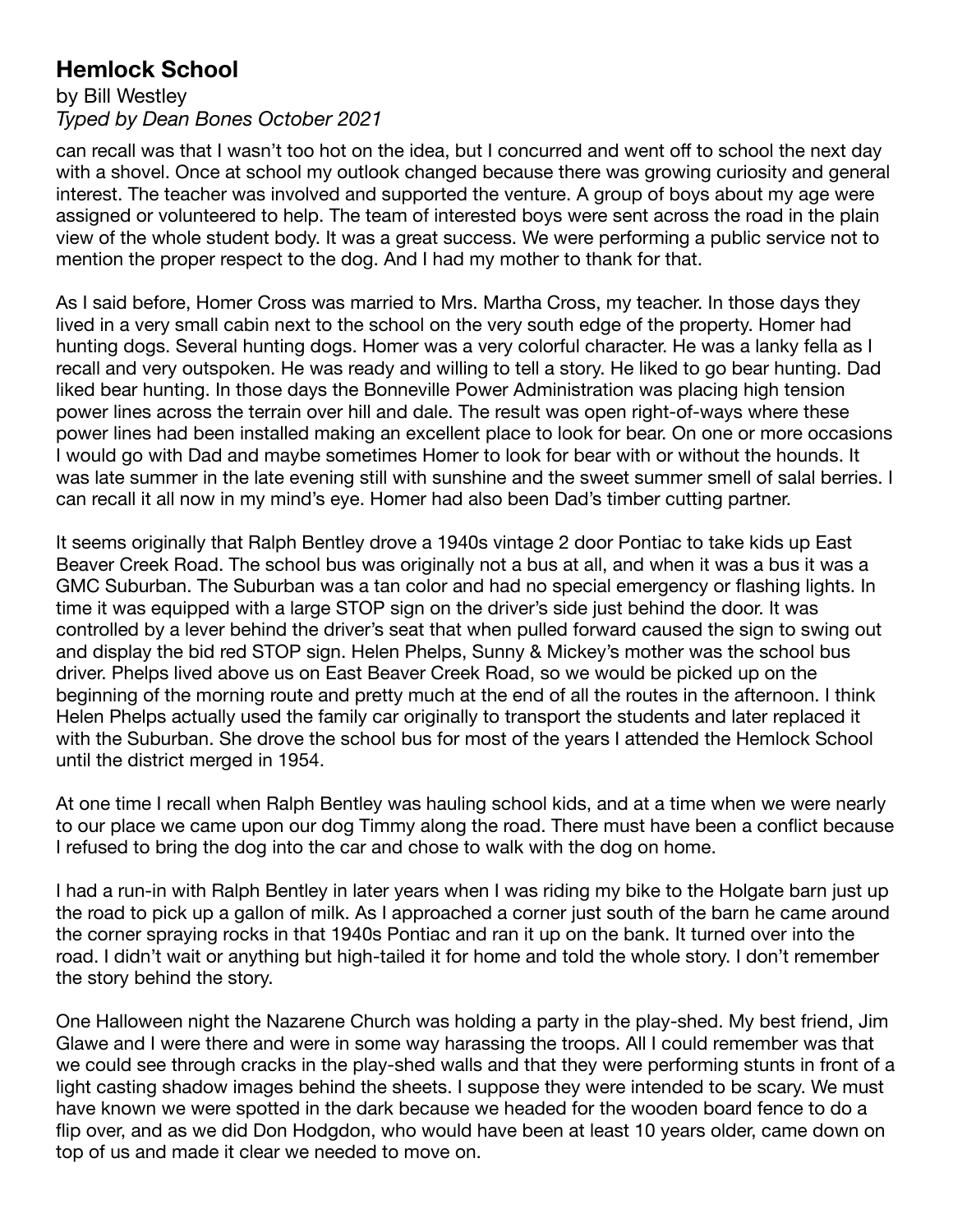#### by Bill Westley *Typed by Dean Bones October 2021*

can recall was that I wasn't too hot on the idea, but I concurred and went off to school the next day with a shovel. Once at school my outlook changed because there was growing curiosity and general interest. The teacher was involved and supported the venture. A group of boys about my age were assigned or volunteered to help. The team of interested boys were sent across the road in the plain view of the whole student body. It was a great success. We were performing a public service not to mention the proper respect to the dog. And I had my mother to thank for that.

As I said before, Homer Cross was married to Mrs. Martha Cross, my teacher. In those days they lived in a very small cabin next to the school on the very south edge of the property. Homer had hunting dogs. Several hunting dogs. Homer was a very colorful character. He was a lanky fella as I recall and very outspoken. He was ready and willing to tell a story. He liked to go bear hunting. Dad liked bear hunting. In those days the Bonneville Power Administration was placing high tension power lines across the terrain over hill and dale. The result was open right-of-ways where these power lines had been installed making an excellent place to look for bear. On one or more occasions I would go with Dad and maybe sometimes Homer to look for bear with or without the hounds. It was late summer in the late evening still with sunshine and the sweet summer smell of salal berries. I can recall it all now in my mind's eye. Homer had also been Dad's timber cutting partner.

It seems originally that Ralph Bentley drove a 1940s vintage 2 door Pontiac to take kids up East Beaver Creek Road. The school bus was originally not a bus at all, and when it was a bus it was a GMC Suburban. The Suburban was a tan color and had no special emergency or flashing lights. In time it was equipped with a large STOP sign on the driver's side just behind the door. It was controlled by a lever behind the driver's seat that when pulled forward caused the sign to swing out and display the bid red STOP sign. Helen Phelps, Sunny & Mickey's mother was the school bus driver. Phelps lived above us on East Beaver Creek Road, so we would be picked up on the beginning of the morning route and pretty much at the end of all the routes in the afternoon. I think Helen Phelps actually used the family car originally to transport the students and later replaced it with the Suburban. She drove the school bus for most of the years I attended the Hemlock School until the district merged in 1954.

At one time I recall when Ralph Bentley was hauling school kids, and at a time when we were nearly to our place we came upon our dog Timmy along the road. There must have been a conflict because I refused to bring the dog into the car and chose to walk with the dog on home.

I had a run-in with Ralph Bentley in later years when I was riding my bike to the Holgate barn just up the road to pick up a gallon of milk. As I approached a corner just south of the barn he came around the corner spraying rocks in that 1940s Pontiac and ran it up on the bank. It turned over into the road. I didn't wait or anything but high-tailed it for home and told the whole story. I don't remember the story behind the story.

One Halloween night the Nazarene Church was holding a party in the play-shed. My best friend, Jim Glawe and I were there and were in some way harassing the troops. All I could remember was that we could see through cracks in the play-shed walls and that they were performing stunts in front of a light casting shadow images behind the sheets. I suppose they were intended to be scary. We must have known we were spotted in the dark because we headed for the wooden board fence to do a flip over, and as we did Don Hodgdon, who would have been at least 10 years older, came down on top of us and made it clear we needed to move on.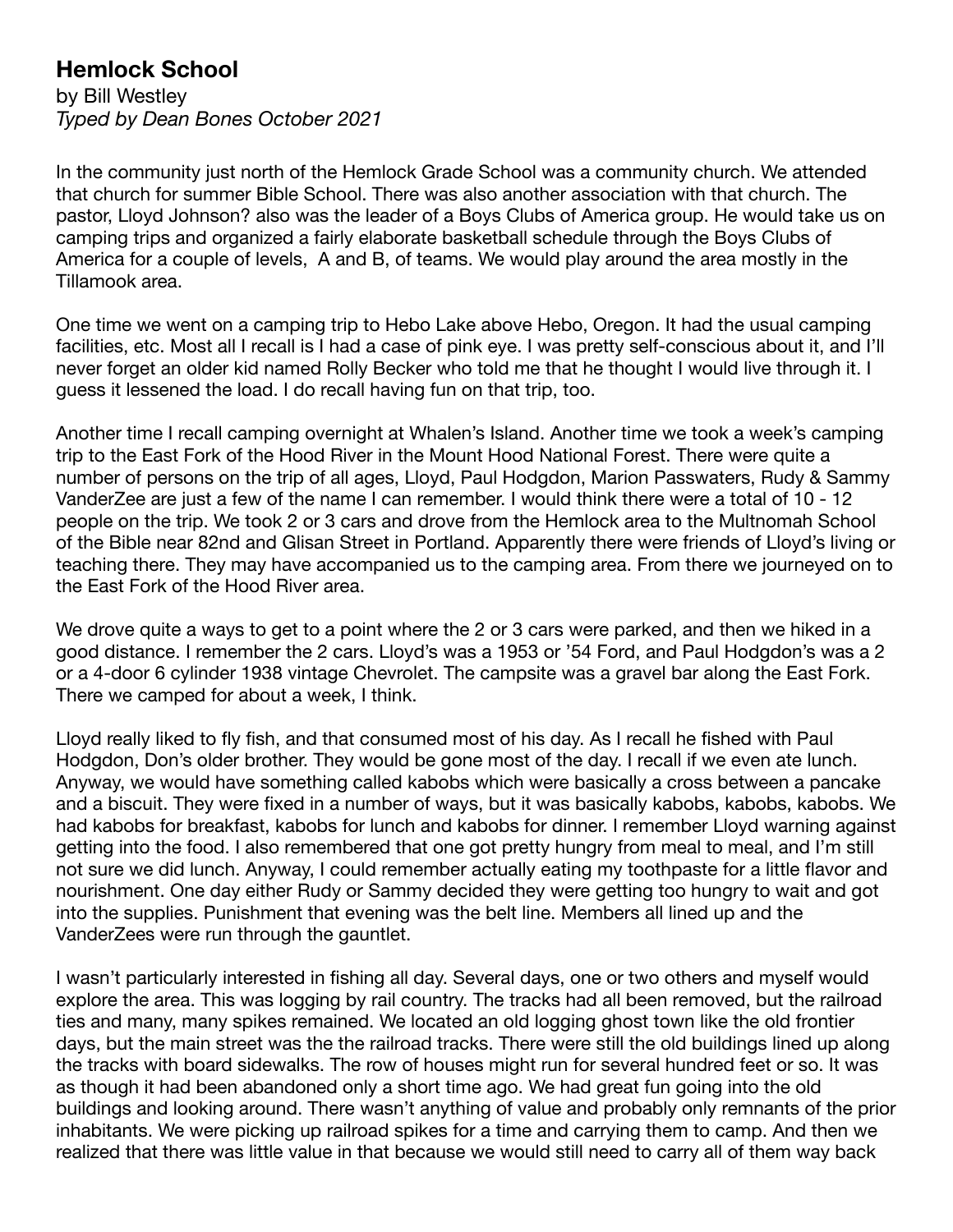by Bill Westley *Typed by Dean Bones October 2021*

In the community just north of the Hemlock Grade School was a community church. We attended that church for summer Bible School. There was also another association with that church. The pastor, Lloyd Johnson? also was the leader of a Boys Clubs of America group. He would take us on camping trips and organized a fairly elaborate basketball schedule through the Boys Clubs of America for a couple of levels, A and B, of teams. We would play around the area mostly in the Tillamook area.

One time we went on a camping trip to Hebo Lake above Hebo, Oregon. It had the usual camping facilities, etc. Most all I recall is I had a case of pink eye. I was pretty self-conscious about it, and I'll never forget an older kid named Rolly Becker who told me that he thought I would live through it. I guess it lessened the load. I do recall having fun on that trip, too.

Another time I recall camping overnight at Whalen's Island. Another time we took a week's camping trip to the East Fork of the Hood River in the Mount Hood National Forest. There were quite a number of persons on the trip of all ages, Lloyd, Paul Hodgdon, Marion Passwaters, Rudy & Sammy VanderZee are just a few of the name I can remember. I would think there were a total of 10 - 12 people on the trip. We took 2 or 3 cars and drove from the Hemlock area to the Multnomah School of the Bible near 82nd and Glisan Street in Portland. Apparently there were friends of Lloyd's living or teaching there. They may have accompanied us to the camping area. From there we journeyed on to the East Fork of the Hood River area.

We drove quite a ways to get to a point where the 2 or 3 cars were parked, and then we hiked in a good distance. I remember the 2 cars. Lloyd's was a 1953 or '54 Ford, and Paul Hodgdon's was a 2 or a 4-door 6 cylinder 1938 vintage Chevrolet. The campsite was a gravel bar along the East Fork. There we camped for about a week, I think.

Lloyd really liked to fly fish, and that consumed most of his day. As I recall he fished with Paul Hodgdon, Don's older brother. They would be gone most of the day. I recall if we even ate lunch. Anyway, we would have something called kabobs which were basically a cross between a pancake and a biscuit. They were fixed in a number of ways, but it was basically kabobs, kabobs, kabobs. We had kabobs for breakfast, kabobs for lunch and kabobs for dinner. I remember Lloyd warning against getting into the food. I also remembered that one got pretty hungry from meal to meal, and I'm still not sure we did lunch. Anyway, I could remember actually eating my toothpaste for a little flavor and nourishment. One day either Rudy or Sammy decided they were getting too hungry to wait and got into the supplies. Punishment that evening was the belt line. Members all lined up and the VanderZees were run through the gauntlet.

I wasn't particularly interested in fishing all day. Several days, one or two others and myself would explore the area. This was logging by rail country. The tracks had all been removed, but the railroad ties and many, many spikes remained. We located an old logging ghost town like the old frontier days, but the main street was the the railroad tracks. There were still the old buildings lined up along the tracks with board sidewalks. The row of houses might run for several hundred feet or so. It was as though it had been abandoned only a short time ago. We had great fun going into the old buildings and looking around. There wasn't anything of value and probably only remnants of the prior inhabitants. We were picking up railroad spikes for a time and carrying them to camp. And then we realized that there was little value in that because we would still need to carry all of them way back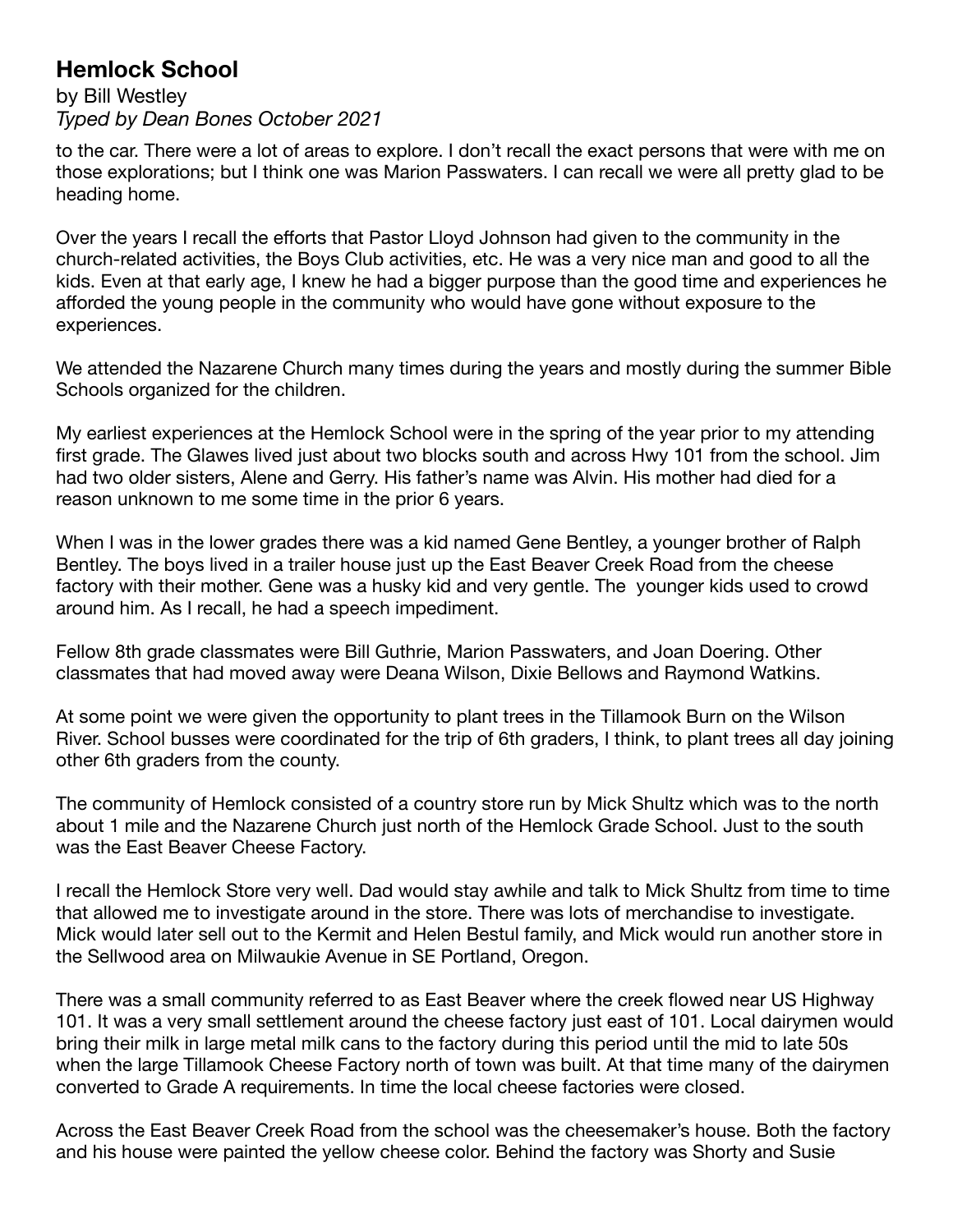#### by Bill Westley *Typed by Dean Bones October 2021*

to the car. There were a lot of areas to explore. I don't recall the exact persons that were with me on those explorations; but I think one was Marion Passwaters. I can recall we were all pretty glad to be heading home.

Over the years I recall the efforts that Pastor Lloyd Johnson had given to the community in the church-related activities, the Boys Club activities, etc. He was a very nice man and good to all the kids. Even at that early age, I knew he had a bigger purpose than the good time and experiences he afforded the young people in the community who would have gone without exposure to the experiences.

We attended the Nazarene Church many times during the years and mostly during the summer Bible Schools organized for the children.

My earliest experiences at the Hemlock School were in the spring of the year prior to my attending first grade. The Glawes lived just about two blocks south and across Hwy 101 from the school. Jim had two older sisters, Alene and Gerry. His father's name was Alvin. His mother had died for a reason unknown to me some time in the prior 6 years.

When I was in the lower grades there was a kid named Gene Bentley, a younger brother of Ralph Bentley. The boys lived in a trailer house just up the East Beaver Creek Road from the cheese factory with their mother. Gene was a husky kid and very gentle. The younger kids used to crowd around him. As I recall, he had a speech impediment.

Fellow 8th grade classmates were Bill Guthrie, Marion Passwaters, and Joan Doering. Other classmates that had moved away were Deana Wilson, Dixie Bellows and Raymond Watkins.

At some point we were given the opportunity to plant trees in the Tillamook Burn on the Wilson River. School busses were coordinated for the trip of 6th graders, I think, to plant trees all day joining other 6th graders from the county.

The community of Hemlock consisted of a country store run by Mick Shultz which was to the north about 1 mile and the Nazarene Church just north of the Hemlock Grade School. Just to the south was the East Beaver Cheese Factory.

I recall the Hemlock Store very well. Dad would stay awhile and talk to Mick Shultz from time to time that allowed me to investigate around in the store. There was lots of merchandise to investigate. Mick would later sell out to the Kermit and Helen Bestul family, and Mick would run another store in the Sellwood area on Milwaukie Avenue in SE Portland, Oregon.

There was a small community referred to as East Beaver where the creek flowed near US Highway 101. It was a very small settlement around the cheese factory just east of 101. Local dairymen would bring their milk in large metal milk cans to the factory during this period until the mid to late 50s when the large Tillamook Cheese Factory north of town was built. At that time many of the dairymen converted to Grade A requirements. In time the local cheese factories were closed.

Across the East Beaver Creek Road from the school was the cheesemaker's house. Both the factory and his house were painted the yellow cheese color. Behind the factory was Shorty and Susie